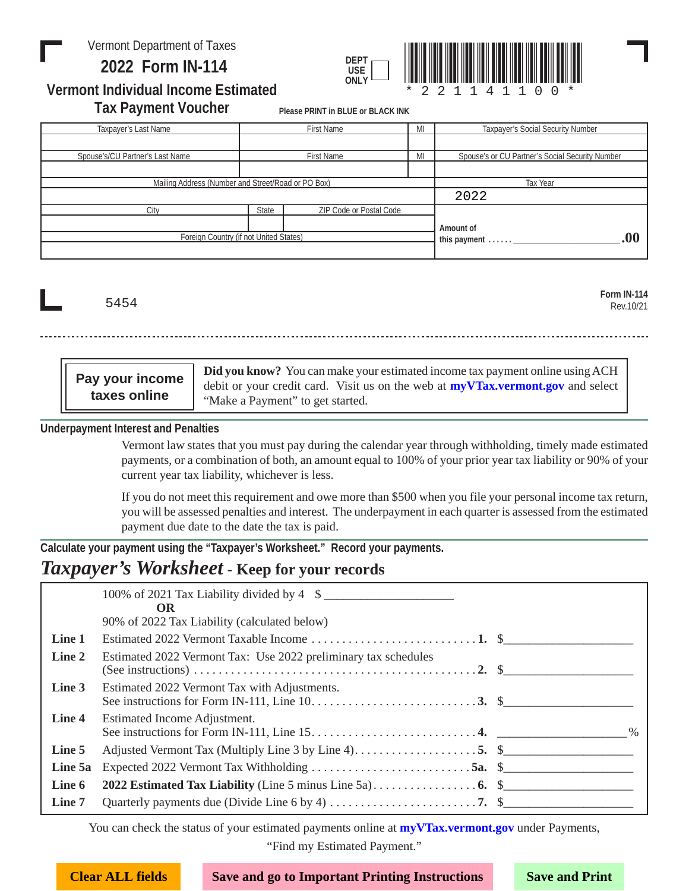### Vermont Department of Taxes

 **Form IN-114 2022**



**Vermont Individual Income Estimated Tax Payment Voucher**

**Please PRINT in BLUE or BLACK INK**

| Taxpayer's Last Name                               | MI<br><b>First Name</b> |                         |              | <b>Taxpayer's Social Security Number</b>        |
|----------------------------------------------------|-------------------------|-------------------------|--------------|-------------------------------------------------|
|                                                    |                         |                         |              |                                                 |
| Spouse's/CU Partner's Last Name                    | First Name<br>MI        |                         |              | Spouse's or CU Partner's Social Security Number |
|                                                    |                         |                         |              |                                                 |
| Mailing Address (Number and Street/Road or PO Box) |                         |                         | Tax Year     |                                                 |
|                                                    |                         |                         |              | 2022                                            |
| City                                               | State                   | ZIP Code or Postal Code |              |                                                 |
|                                                    |                         |                         |              | Amount of                                       |
| Foreign Country (if not United States)             |                         |                         | this payment |                                                 |

5454

**Form IN-114** Rev.10/21

**Did you know?** You can make your estimated income tax payment online using ACH debit or your credit card. Visit us on the web at **[myVTax.vermont.gov](http://myVTax.vermont.gov)** and select "Make a Payment" to get started. **Pay your income** 

**Underpayment Interest and Penalties**

**taxes online**

Vermont law states that you must pay during the calendar year through withholding, timely made estimated payments, or a combination of both, an amount equal to 100% of your prior year tax liability or 90% of your current year tax liability, whichever is less.

If you do not meet this requirement and owe more than \$500 when you file your personal income tax return, you will be assessed penalties and interest. The underpayment in each quarter is assessed from the estimated payment due date to the date the tax is paid.

**Calculate your payment using the "Taxpayer's Worksheet." Record your payments.** 

### *Taxpayer's Worksheet* - **Keep for your records**

|         | 100% of 2021 Tax Liability divided by 4 \$<br><b>OR</b>                                                                                                                                                            |  |
|---------|--------------------------------------------------------------------------------------------------------------------------------------------------------------------------------------------------------------------|--|
|         | 90% of 2022 Tax Liability (calculated below)                                                                                                                                                                       |  |
| Line 1  |                                                                                                                                                                                                                    |  |
| Line 2  | Estimated 2022 Vermont Tax: Use 2022 preliminary tax schedules<br>(See instructions) $\ldots$ $\ldots$ $\ldots$ $\ldots$ $\ldots$ $\ldots$ $\ldots$ $\ldots$ $\ldots$ $\ldots$ $\ldots$ $\ldots$ $\ldots$ $\ldots$ |  |
| Line 3  | Estimated 2022 Vermont Tax with Adjustments.                                                                                                                                                                       |  |
| Line 4  | Estimated Income Adjustment.                                                                                                                                                                                       |  |
| Line 5  |                                                                                                                                                                                                                    |  |
| Line 5a |                                                                                                                                                                                                                    |  |
| Line 6  |                                                                                                                                                                                                                    |  |
| Line 7  |                                                                                                                                                                                                                    |  |

You can check the status of your estimated payments online at **[myVTax.vermont.gov](http://myVTax.vermont.gov)** under Payments, "Find my Estimated Payment."

**Clear ALL fields Save and go to Important Printing Instructions Save and Print**